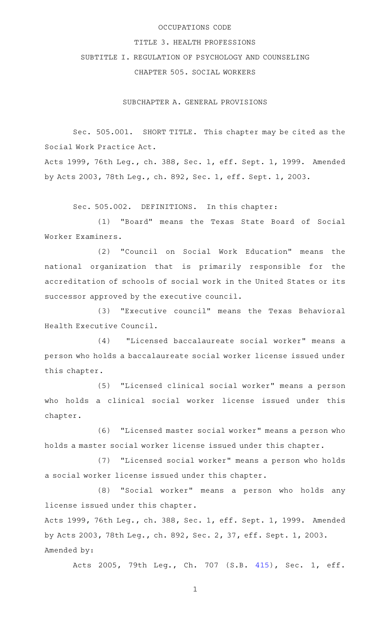### OCCUPATIONS CODE

#### TITLE 3. HEALTH PROFESSIONS

# SUBTITLE I. REGULATION OF PSYCHOLOGY AND COUNSELING CHAPTER 505. SOCIAL WORKERS

SUBCHAPTER A. GENERAL PROVISIONS

Sec. 505.001. SHORT TITLE. This chapter may be cited as the Social Work Practice Act.

Acts 1999, 76th Leg., ch. 388, Sec. 1, eff. Sept. 1, 1999. Amended by Acts 2003, 78th Leg., ch. 892, Sec. 1, eff. Sept. 1, 2003.

Sec. 505.002. DEFINITIONS. In this chapter:

(1) "Board" means the Texas State Board of Social Worker Examiners.

(2) "Council on Social Work Education" means the national organization that is primarily responsible for the accreditation of schools of social work in the United States or its successor approved by the executive council.

(3) "Executive council" means the Texas Behavioral Health Executive Council.

(4) "Licensed baccalaureate social worker" means a person who holds a baccalaureate social worker license issued under this chapter.

(5) "Licensed clinical social worker" means a person who holds a clinical social worker license issued under this chapter.

(6) "Licensed master social worker" means a person who holds a master social worker license issued under this chapter.

(7) "Licensed social worker" means a person who holds a social worker license issued under this chapter.

(8) "Social worker" means a person who holds any license issued under this chapter.

Acts 1999, 76th Leg., ch. 388, Sec. 1, eff. Sept. 1, 1999. Amended by Acts 2003, 78th Leg., ch. 892, Sec. 2, 37, eff. Sept. 1, 2003. Amended by:

Acts 2005, 79th Leg., Ch. 707 (S.B. [415\)](http://www.legis.state.tx.us/tlodocs/79R/billtext/html/SB00415F.HTM), Sec. 1, eff.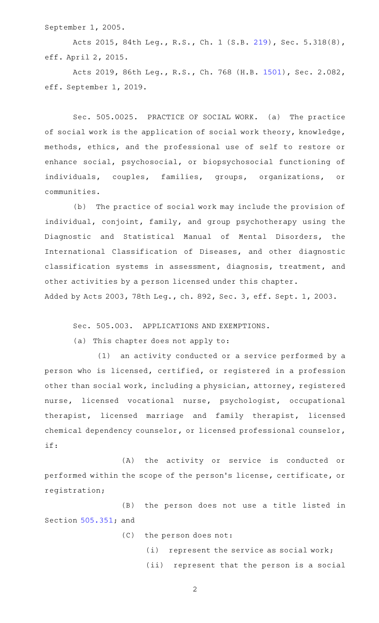September 1, 2005.

Acts 2015, 84th Leg., R.S., Ch. 1 (S.B. [219](http://www.legis.state.tx.us/tlodocs/84R/billtext/html/SB00219F.HTM)), Sec. 5.318(8), eff. April 2, 2015.

Acts 2019, 86th Leg., R.S., Ch. 768 (H.B. [1501\)](http://www.legis.state.tx.us/tlodocs/86R/billtext/html/HB01501F.HTM), Sec. 2.082, eff. September 1, 2019.

Sec. 505.0025. PRACTICE OF SOCIAL WORK. (a) The practice of social work is the application of social work theory, knowledge, methods, ethics, and the professional use of self to restore or enhance social, psychosocial, or biopsychosocial functioning of individuals, couples, families, groups, organizations, or communities.

(b) The practice of social work may include the provision of individual, conjoint, family, and group psychotherapy using the Diagnostic and Statistical Manual of Mental Disorders, the International Classification of Diseases, and other diagnostic classification systems in assessment, diagnosis, treatment, and other activities by a person licensed under this chapter. Added by Acts 2003, 78th Leg., ch. 892, Sec. 3, eff. Sept. 1, 2003.

Sec. 505.003. APPLICATIONS AND EXEMPTIONS.

(a) This chapter does not apply to:

(1) an activity conducted or a service performed by a person who is licensed, certified, or registered in a profession other than social work, including a physician, attorney, registered nurse, licensed vocational nurse, psychologist, occupational therapist, licensed marriage and family therapist, licensed chemical dependency counselor, or licensed professional counselor, if:

(A) the activity or service is conducted or performed within the scope of the person 's license, certificate, or registration;

(B) the person does not use a title listed in Section [505.351;](http://www.statutes.legis.state.tx.us/GetStatute.aspx?Code=OC&Value=505.351) and

(C) the person does not:

(i) represent the service as social work; (ii) represent that the person is a social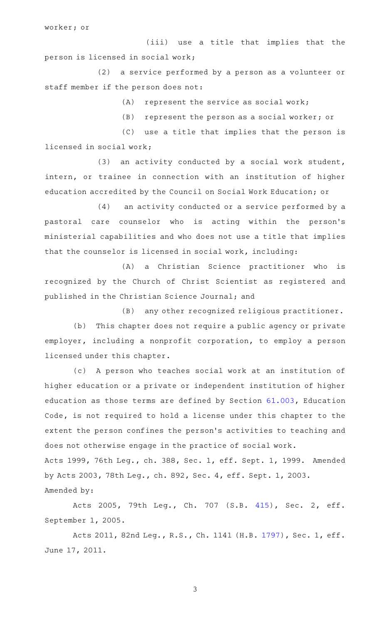worker; or

(iii) use a title that implies that the person is licensed in social work;

(2) a service performed by a person as a volunteer or staff member if the person does not:

 $(A)$  represent the service as social work;

 $(B)$  represent the person as a social worker; or

(C) use a title that implies that the person is licensed in social work;

(3) an activity conducted by a social work student, intern, or trainee in connection with an institution of higher education accredited by the Council on Social Work Education; or

(4) an activity conducted or a service performed by a pastoral care counselor who is acting within the person's ministerial capabilities and who does not use a title that implies that the counselor is licensed in social work, including:

(A) a Christian Science practitioner who is recognized by the Church of Christ Scientist as registered and published in the Christian Science Journal; and

 $(B)$  any other recognized religious practitioner.

(b) This chapter does not require a public agency or private employer, including a nonprofit corporation, to employ a person licensed under this chapter.

(c) A person who teaches social work at an institution of higher education or a private or independent institution of higher education as those terms are defined by Section [61.003](http://www.statutes.legis.state.tx.us/GetStatute.aspx?Code=ED&Value=61.003), Education Code, is not required to hold a license under this chapter to the extent the person confines the person 's activities to teaching and does not otherwise engage in the practice of social work.

Acts 1999, 76th Leg., ch. 388, Sec. 1, eff. Sept. 1, 1999. Amended by Acts 2003, 78th Leg., ch. 892, Sec. 4, eff. Sept. 1, 2003. Amended by:

Acts 2005, 79th Leg., Ch. 707 (S.B. [415\)](http://www.legis.state.tx.us/tlodocs/79R/billtext/html/SB00415F.HTM), Sec. 2, eff. September 1, 2005.

Acts 2011, 82nd Leg., R.S., Ch. 1141 (H.B. [1797](http://www.legis.state.tx.us/tlodocs/82R/billtext/html/HB01797F.HTM)), Sec. 1, eff. June 17, 2011.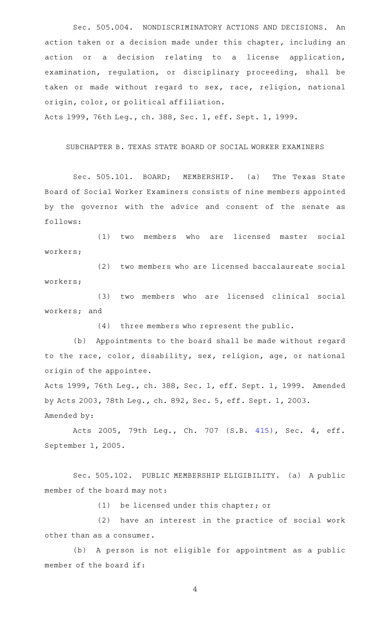Sec. 505.004. NONDISCRIMINATORY ACTIONS AND DECISIONS. An action taken or a decision made under this chapter, including an action or a decision relating to a license application, examination, regulation, or disciplinary proceeding, shall be taken or made without regard to sex, race, religion, national origin, color, or political affiliation.

Acts 1999, 76th Leg., ch. 388, Sec. 1, eff. Sept. 1, 1999.

#### SUBCHAPTER B. TEXAS STATE BOARD OF SOCIAL WORKER EXAMINERS

Sec. 505.101. BOARD; MEMBERSHIP. (a) The Texas State Board of Social Worker Examiners consists of nine members appointed by the governor with the advice and consent of the senate as follows:

(1) two members who are licensed master social workers;

(2) two members who are licensed baccalaureate social workers;

(3) two members who are licensed clinical social workers; and

 $(4)$  three members who represent the public.

(b) Appointments to the board shall be made without regard to the race, color, disability, sex, religion, age, or national origin of the appointee.

Acts 1999, 76th Leg., ch. 388, Sec. 1, eff. Sept. 1, 1999. Amended by Acts 2003, 78th Leg., ch. 892, Sec. 5, eff. Sept. 1, 2003. Amended by:

Acts 2005, 79th Leg., Ch. 707 (S.B. [415\)](http://www.legis.state.tx.us/tlodocs/79R/billtext/html/SB00415F.HTM), Sec. 4, eff. September 1, 2005.

Sec. 505.102. PUBLIC MEMBERSHIP ELIGIBILITY. (a) A public member of the board may not:

 $(1)$  be licensed under this chapter; or

(2) have an interest in the practice of social work other than as a consumer.

(b) A person is not eligible for appointment as a public member of the board if: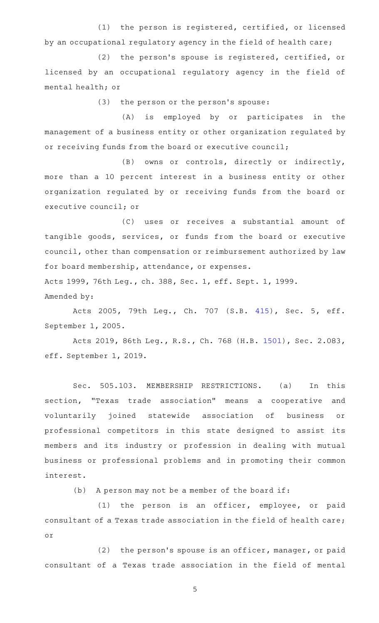(1) the person is registered, certified, or licensed by an occupational regulatory agency in the field of health care;

(2) the person's spouse is registered, certified, or licensed by an occupational regulatory agency in the field of mental health; or

(3) the person or the person's spouse:

(A) is employed by or participates in the management of a business entity or other organization regulated by or receiving funds from the board or executive council;

(B) owns or controls, directly or indirectly, more than a 10 percent interest in a business entity or other organization regulated by or receiving funds from the board or executive council; or

(C) uses or receives a substantial amount of tangible goods, services, or funds from the board or executive council, other than compensation or reimbursement authorized by law for board membership, attendance, or expenses. Acts 1999, 76th Leg., ch. 388, Sec. 1, eff. Sept. 1, 1999.

Amended by:

Acts 2005, 79th Leg., Ch. 707 (S.B. [415\)](http://www.legis.state.tx.us/tlodocs/79R/billtext/html/SB00415F.HTM), Sec. 5, eff. September 1, 2005.

Acts 2019, 86th Leg., R.S., Ch. 768 (H.B. [1501\)](http://www.legis.state.tx.us/tlodocs/86R/billtext/html/HB01501F.HTM), Sec. 2.083, eff. September 1, 2019.

Sec. 505.103. MEMBERSHIP RESTRICTIONS. (a) In this section, "Texas trade association" means a cooperative and voluntarily joined statewide association of business or professional competitors in this state designed to assist its members and its industry or profession in dealing with mutual business or professional problems and in promoting their common interest.

(b) A person may not be a member of the board if:

(1) the person is an officer, employee, or paid consultant of a Texas trade association in the field of health care; or

 $(2)$  the person's spouse is an officer, manager, or paid consultant of a Texas trade association in the field of mental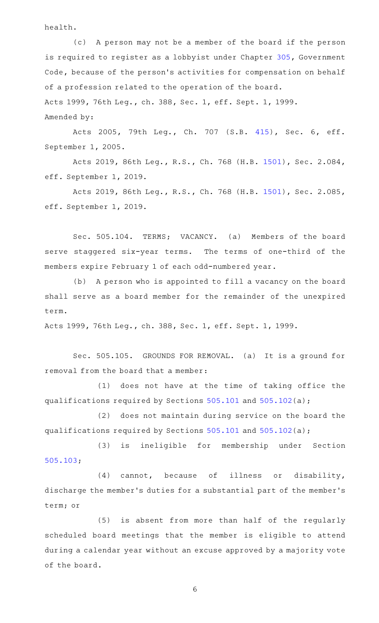health.

(c) A person may not be a member of the board if the person is required to register as a lobbyist under Chapter [305](http://www.statutes.legis.state.tx.us/GetStatute.aspx?Code=GV&Value=305), Government Code, because of the person's activities for compensation on behalf of a profession related to the operation of the board. Acts 1999, 76th Leg., ch. 388, Sec. 1, eff. Sept. 1, 1999. Amended by:

Acts 2005, 79th Leg., Ch. 707 (S.B. [415\)](http://www.legis.state.tx.us/tlodocs/79R/billtext/html/SB00415F.HTM), Sec. 6, eff. September 1, 2005.

Acts 2019, 86th Leg., R.S., Ch. 768 (H.B. [1501\)](http://www.legis.state.tx.us/tlodocs/86R/billtext/html/HB01501F.HTM), Sec. 2.084, eff. September 1, 2019.

Acts 2019, 86th Leg., R.S., Ch. 768 (H.B. [1501\)](http://www.legis.state.tx.us/tlodocs/86R/billtext/html/HB01501F.HTM), Sec. 2.085, eff. September 1, 2019.

Sec. 505.104. TERMS; VACANCY. (a) Members of the board serve staggered six-year terms. The terms of one-third of the members expire February 1 of each odd-numbered year.

(b) A person who is appointed to fill a vacancy on the board shall serve as a board member for the remainder of the unexpired term.

Acts 1999, 76th Leg., ch. 388, Sec. 1, eff. Sept. 1, 1999.

Sec. 505.105. GROUNDS FOR REMOVAL. (a) It is a ground for removal from the board that a member:

(1) does not have at the time of taking office the qualifications required by Sections [505.101](http://www.statutes.legis.state.tx.us/GetStatute.aspx?Code=OC&Value=505.101) and [505.102](http://www.statutes.legis.state.tx.us/GetStatute.aspx?Code=OC&Value=505.102)(a);

(2) does not maintain during service on the board the qualifications required by Sections [505.101](http://www.statutes.legis.state.tx.us/GetStatute.aspx?Code=OC&Value=505.101) and [505.102](http://www.statutes.legis.state.tx.us/GetStatute.aspx?Code=OC&Value=505.102)(a);

(3) is ineligible for membership under Section [505.103;](http://www.statutes.legis.state.tx.us/GetStatute.aspx?Code=OC&Value=505.103)

 $(4)$  cannot, because of illness or disability, discharge the member 's duties for a substantial part of the member 's term; or

(5) is absent from more than half of the regularly scheduled board meetings that the member is eligible to attend during a calendar year without an excuse approved by a majority vote of the board.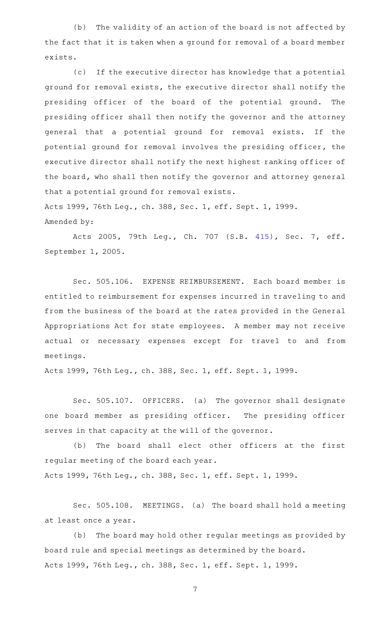(b) The validity of an action of the board is not affected by the fact that it is taken when a ground for removal of a board member exists.

(c) If the executive director has knowledge that a potential ground for removal exists, the executive director shall notify the presiding officer of the board of the potential ground. The presiding officer shall then notify the governor and the attorney general that a potential ground for removal exists. If the potential ground for removal involves the presiding officer, the executive director shall notify the next highest ranking officer of the board, who shall then notify the governor and attorney general that a potential ground for removal exists.

Acts 1999, 76th Leg., ch. 388, Sec. 1, eff. Sept. 1, 1999. Amended by:

Acts 2005, 79th Leg., Ch. 707 (S.B. [415\)](http://www.legis.state.tx.us/tlodocs/79R/billtext/html/SB00415F.HTM), Sec. 7, eff. September 1, 2005.

Sec. 505.106. EXPENSE REIMBURSEMENT. Each board member is entitled to reimbursement for expenses incurred in traveling to and from the business of the board at the rates provided in the General Appropriations Act for state employees. A member may not receive actual or necessary expenses except for travel to and from meetings.

Acts 1999, 76th Leg., ch. 388, Sec. 1, eff. Sept. 1, 1999.

Sec. 505.107. OFFICERS. (a) The governor shall designate one board member as presiding officer. The presiding officer serves in that capacity at the will of the governor.

(b) The board shall elect other officers at the first regular meeting of the board each year. Acts 1999, 76th Leg., ch. 388, Sec. 1, eff. Sept. 1, 1999.

Sec. 505.108. MEETINGS. (a) The board shall hold a meeting at least once a year.

(b) The board may hold other regular meetings as provided by board rule and special meetings as determined by the board. Acts 1999, 76th Leg., ch. 388, Sec. 1, eff. Sept. 1, 1999.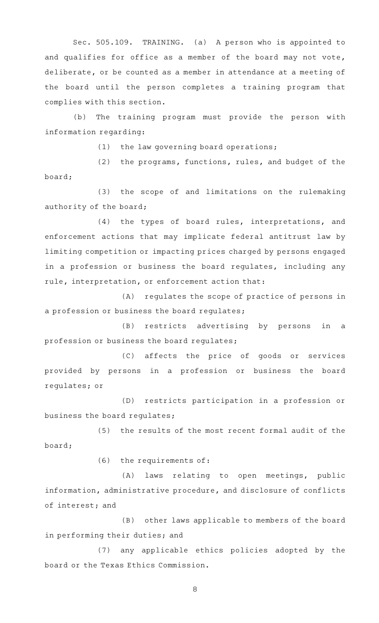Sec. 505.109. TRAINING. (a) A person who is appointed to and qualifies for office as a member of the board may not vote, deliberate, or be counted as a member in attendance at a meeting of the board until the person completes a training program that complies with this section.

(b) The training program must provide the person with information regarding:

 $(1)$  the law governing board operations;

(2) the programs, functions, rules, and budget of the board;

(3) the scope of and limitations on the rulemaking authority of the board;

(4) the types of board rules, interpretations, and enforcement actions that may implicate federal antitrust law by limiting competition or impacting prices charged by persons engaged in a profession or business the board regulates, including any rule, interpretation, or enforcement action that:

(A) regulates the scope of practice of persons in a profession or business the board regulates;

(B) restricts advertising by persons in a profession or business the board regulates;

(C) affects the price of goods or services provided by persons in a profession or business the board regulates; or

(D) restricts participation in a profession or business the board regulates;

(5) the results of the most recent formal audit of the board;

 $(6)$  the requirements of:

(A) laws relating to open meetings, public information, administrative procedure, and disclosure of conflicts of interest; and

(B) other laws applicable to members of the board in performing their duties; and

(7) any applicable ethics policies adopted by the board or the Texas Ethics Commission.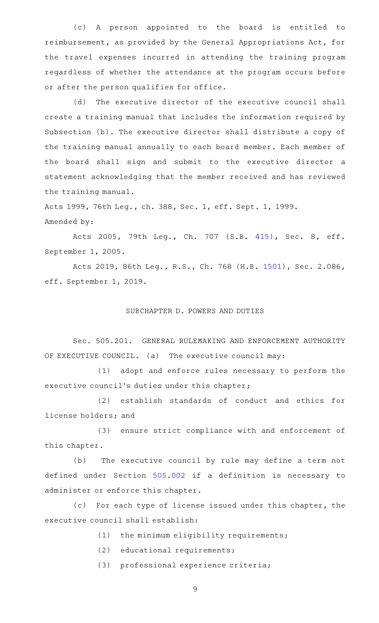(c)AAA person appointed to the board is entitled to reimbursement, as provided by the General Appropriations Act, for the travel expenses incurred in attending the training program regardless of whether the attendance at the program occurs before or after the person qualifies for office.

(d) The executive director of the executive council shall create a training manual that includes the information required by Subsection (b). The executive director shall distribute a copy of the training manual annually to each board member. Each member of the board shall sign and submit to the executive director a statement acknowledging that the member received and has reviewed the training manual.

Acts 1999, 76th Leg., ch. 388, Sec. 1, eff. Sept. 1, 1999. Amended by:

Acts 2005, 79th Leg., Ch. 707 (S.B. [415\)](http://www.legis.state.tx.us/tlodocs/79R/billtext/html/SB00415F.HTM), Sec. 8, eff. September 1, 2005.

Acts 2019, 86th Leg., R.S., Ch. 768 (H.B. [1501\)](http://www.legis.state.tx.us/tlodocs/86R/billtext/html/HB01501F.HTM), Sec. 2.086, eff. September 1, 2019.

#### SUBCHAPTER D. POWERS AND DUTIES

Sec. 505.201. GENERAL RULEMAKING AND ENFORCEMENT AUTHORITY OF EXECUTIVE COUNCIL. (a) The executive council may:

(1) adopt and enforce rules necessary to perform the executive council's duties under this chapter;

(2) establish standards of conduct and ethics for license holders; and

(3) ensure strict compliance with and enforcement of this chapter.

(b) The executive council by rule may define a term not defined under Section [505.002](http://www.statutes.legis.state.tx.us/GetStatute.aspx?Code=OC&Value=505.002) if a definition is necessary to administer or enforce this chapter.

(c) For each type of license issued under this chapter, the executive council shall establish:

- $(1)$  the minimum eligibility requirements;
- (2) educational requirements;
- (3) professional experience criteria;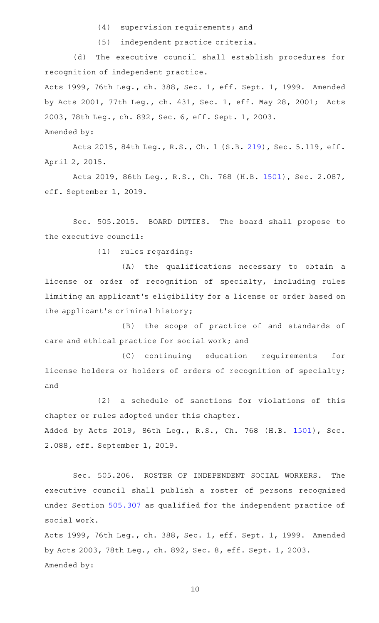$(4)$  supervision requirements; and

(5) independent practice criteria.

(d) The executive council shall establish procedures for recognition of independent practice.

Acts 1999, 76th Leg., ch. 388, Sec. 1, eff. Sept. 1, 1999. Amended by Acts 2001, 77th Leg., ch. 431, Sec. 1, eff. May 28, 2001; Acts 2003, 78th Leg., ch. 892, Sec. 6, eff. Sept. 1, 2003. Amended by:

Acts 2015, 84th Leg., R.S., Ch. 1 (S.B. [219](http://www.legis.state.tx.us/tlodocs/84R/billtext/html/SB00219F.HTM)), Sec. 5.119, eff. April 2, 2015.

Acts 2019, 86th Leg., R.S., Ch. 768 (H.B. [1501\)](http://www.legis.state.tx.us/tlodocs/86R/billtext/html/HB01501F.HTM), Sec. 2.087, eff. September 1, 2019.

Sec. 505.2015. BOARD DUTIES. The board shall propose to the executive council:

(1) rules regarding:

(A) the qualifications necessary to obtain a license or order of recognition of specialty, including rules limiting an applicant 's eligibility for a license or order based on the applicant 's criminal history;

(B) the scope of practice of and standards of care and ethical practice for social work; and

(C) continuing education requirements for license holders or holders of orders of recognition of specialty; and

 $(2)$  a schedule of sanctions for violations of this chapter or rules adopted under this chapter. Added by Acts 2019, 86th Leg., R.S., Ch. 768 (H.B. [1501](http://www.legis.state.tx.us/tlodocs/86R/billtext/html/HB01501F.HTM)), Sec. 2.088, eff. September 1, 2019.

Sec. 505.206. ROSTER OF INDEPENDENT SOCIAL WORKERS. The executive council shall publish a roster of persons recognized under Section [505.307](http://www.statutes.legis.state.tx.us/GetStatute.aspx?Code=OC&Value=505.307) as qualified for the independent practice of social work.

Acts 1999, 76th Leg., ch. 388, Sec. 1, eff. Sept. 1, 1999. Amended by Acts 2003, 78th Leg., ch. 892, Sec. 8, eff. Sept. 1, 2003. Amended by: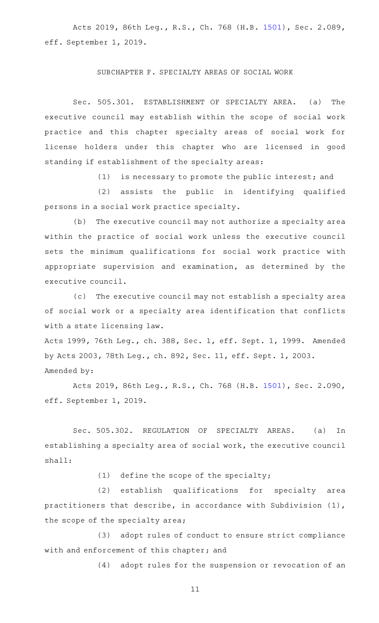Acts 2019, 86th Leg., R.S., Ch. 768 (H.B. [1501\)](http://www.legis.state.tx.us/tlodocs/86R/billtext/html/HB01501F.HTM), Sec. 2.089, eff. September 1, 2019.

#### SUBCHAPTER F. SPECIALTY AREAS OF SOCIAL WORK

Sec. 505.301. ESTABLISHMENT OF SPECIALTY AREA. (a) The executive council may establish within the scope of social work practice and this chapter specialty areas of social work for license holders under this chapter who are licensed in good standing if establishment of the specialty areas:

 $(1)$  is necessary to promote the public interest; and

(2) assists the public in identifying qualified persons in a social work practice specialty.

(b) The executive council may not authorize a specialty area within the practice of social work unless the executive council sets the minimum qualifications for social work practice with appropriate supervision and examination, as determined by the executive council.

(c) The executive council may not establish a specialty area of social work or a specialty area identification that conflicts with a state licensing law.

Acts 1999, 76th Leg., ch. 388, Sec. 1, eff. Sept. 1, 1999. Amended by Acts 2003, 78th Leg., ch. 892, Sec. 11, eff. Sept. 1, 2003. Amended by:

Acts 2019, 86th Leg., R.S., Ch. 768 (H.B. [1501\)](http://www.legis.state.tx.us/tlodocs/86R/billtext/html/HB01501F.HTM), Sec. 2.090, eff. September 1, 2019.

Sec. 505.302. REGULATION OF SPECIALTY AREAS. (a) In establishing a specialty area of social work, the executive council shall:

 $(1)$  define the scope of the specialty;

(2) establish qualifications for specialty area practitioners that describe, in accordance with Subdivision (1), the scope of the specialty area;

(3) adopt rules of conduct to ensure strict compliance with and enforcement of this chapter; and

(4) adopt rules for the suspension or revocation of an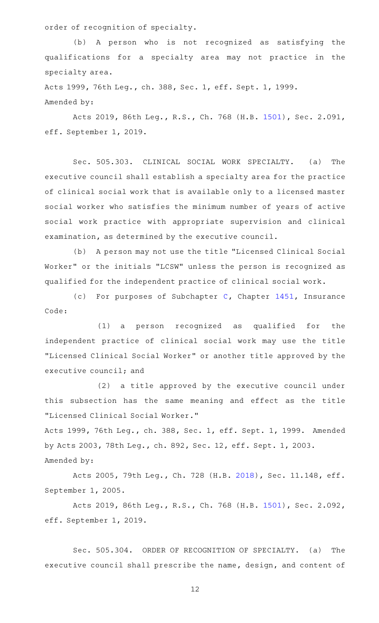order of recognition of specialty.

(b) A person who is not recognized as satisfying the qualifications for a specialty area may not practice in the specialty area.

Acts 1999, 76th Leg., ch. 388, Sec. 1, eff. Sept. 1, 1999. Amended by:

Acts 2019, 86th Leg., R.S., Ch. 768 (H.B. [1501\)](http://www.legis.state.tx.us/tlodocs/86R/billtext/html/HB01501F.HTM), Sec. 2.091, eff. September 1, 2019.

Sec. 505.303. CLINICAL SOCIAL WORK SPECIALTY. (a) The executive council shall establish a specialty area for the practice of clinical social work that is available only to a licensed master social worker who satisfies the minimum number of years of active social work practice with appropriate supervision and clinical examination, as determined by the executive council.

(b) A person may not use the title "Licensed Clinical Social Worker" or the initials "LCSW" unless the person is recognized as qualified for the independent practice of clinical social work.

(c) For purposes of Subchapter [C](http://www.statutes.legis.state.tx.us/GetStatute.aspx?Code=IN&Value=1451.101), Chapter  $1451$ , Insurance Code:

(1) a person recognized as qualified for the independent practice of clinical social work may use the title "Licensed Clinical Social Worker" or another title approved by the executive council; and

(2) a title approved by the executive council under this subsection has the same meaning and effect as the title "Licensed Clinical Social Worker."

Acts 1999, 76th Leg., ch. 388, Sec. 1, eff. Sept. 1, 1999. Amended by Acts 2003, 78th Leg., ch. 892, Sec. 12, eff. Sept. 1, 2003. Amended by:

Acts 2005, 79th Leg., Ch. 728 (H.B. [2018\)](http://www.legis.state.tx.us/tlodocs/79R/billtext/html/HB02018F.HTM), Sec. 11.148, eff. September 1, 2005.

Acts 2019, 86th Leg., R.S., Ch. 768 (H.B. [1501\)](http://www.legis.state.tx.us/tlodocs/86R/billtext/html/HB01501F.HTM), Sec. 2.092, eff. September 1, 2019.

Sec. 505.304. ORDER OF RECOGNITION OF SPECIALTY. (a) The executive council shall prescribe the name, design, and content of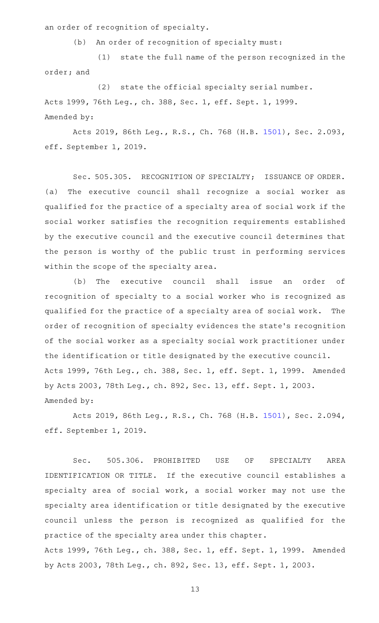an order of recognition of specialty.

(b) An order of recognition of specialty must:

(1) state the full name of the person recognized in the order; and

 $(2)$  state the official specialty serial number. Acts 1999, 76th Leg., ch. 388, Sec. 1, eff. Sept. 1, 1999. Amended by:

Acts 2019, 86th Leg., R.S., Ch. 768 (H.B. [1501\)](http://www.legis.state.tx.us/tlodocs/86R/billtext/html/HB01501F.HTM), Sec. 2.093, eff. September 1, 2019.

Sec. 505.305. RECOGNITION OF SPECIALTY; ISSUANCE OF ORDER. (a) The executive council shall recognize a social worker as qualified for the practice of a specialty area of social work if the social worker satisfies the recognition requirements established by the executive council and the executive council determines that the person is worthy of the public trust in performing services within the scope of the specialty area.

(b) The executive council shall issue an order of recognition of specialty to a social worker who is recognized as qualified for the practice of a specialty area of social work. The order of recognition of specialty evidences the state 's recognition of the social worker as a specialty social work practitioner under the identification or title designated by the executive council. Acts 1999, 76th Leg., ch. 388, Sec. 1, eff. Sept. 1, 1999. Amended by Acts 2003, 78th Leg., ch. 892, Sec. 13, eff. Sept. 1, 2003. Amended by:

Acts 2019, 86th Leg., R.S., Ch. 768 (H.B. [1501\)](http://www.legis.state.tx.us/tlodocs/86R/billtext/html/HB01501F.HTM), Sec. 2.094, eff. September 1, 2019.

Sec. 505.306. PROHIBITED USE OF SPECIALTY AREA IDENTIFICATION OR TITLE. If the executive council establishes a specialty area of social work, a social worker may not use the specialty area identification or title designated by the executive council unless the person is recognized as qualified for the practice of the specialty area under this chapter.

Acts 1999, 76th Leg., ch. 388, Sec. 1, eff. Sept. 1, 1999. Amended by Acts 2003, 78th Leg., ch. 892, Sec. 13, eff. Sept. 1, 2003.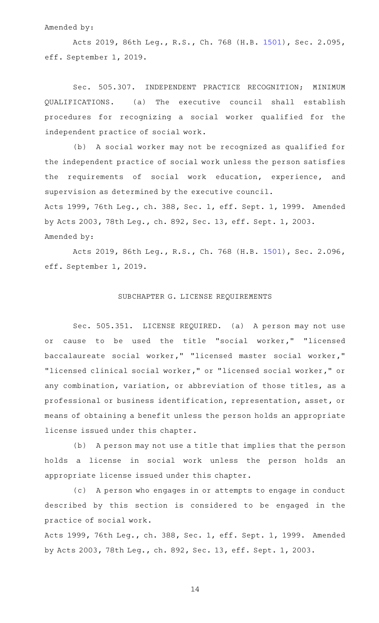#### Amended by:

Acts 2019, 86th Leg., R.S., Ch. 768 (H.B. [1501\)](http://www.legis.state.tx.us/tlodocs/86R/billtext/html/HB01501F.HTM), Sec. 2.095, eff. September 1, 2019.

Sec. 505.307. INDEPENDENT PRACTICE RECOGNITION; MINIMUM QUALIFICATIONS. (a) The executive council shall establish procedures for recognizing a social worker qualified for the independent practice of social work.

(b) A social worker may not be recognized as qualified for the independent practice of social work unless the person satisfies the requirements of social work education, experience, and supervision as determined by the executive council.

Acts 1999, 76th Leg., ch. 388, Sec. 1, eff. Sept. 1, 1999. Amended by Acts 2003, 78th Leg., ch. 892, Sec. 13, eff. Sept. 1, 2003. Amended by:

Acts 2019, 86th Leg., R.S., Ch. 768 (H.B. [1501\)](http://www.legis.state.tx.us/tlodocs/86R/billtext/html/HB01501F.HTM), Sec. 2.096, eff. September 1, 2019.

### SUBCHAPTER G. LICENSE REQUIREMENTS

Sec. 505.351. LICENSE REQUIRED. (a) A person may not use or cause to be used the title "social worker," "licensed baccalaureate social worker," "licensed master social worker," "licensed clinical social worker," or "licensed social worker," or any combination, variation, or abbreviation of those titles, as a professional or business identification, representation, asset, or means of obtaining a benefit unless the person holds an appropriate license issued under this chapter.

(b) A person may not use a title that implies that the person holds a license in social work unless the person holds an appropriate license issued under this chapter.

(c) A person who engages in or attempts to engage in conduct described by this section is considered to be engaged in the practice of social work.

Acts 1999, 76th Leg., ch. 388, Sec. 1, eff. Sept. 1, 1999. Amended by Acts 2003, 78th Leg., ch. 892, Sec. 13, eff. Sept. 1, 2003.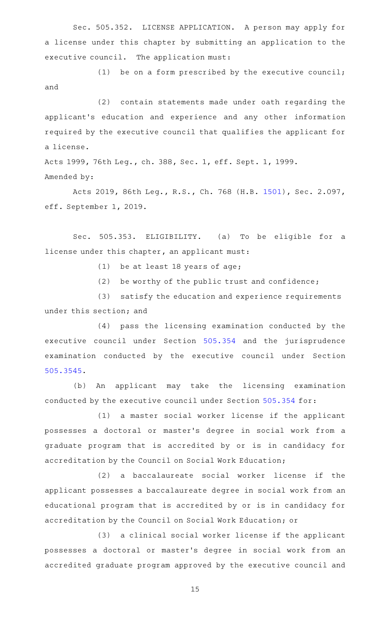Sec. 505.352. LICENSE APPLICATION. A person may apply for a license under this chapter by submitting an application to the executive council. The application must:

(1) be on a form prescribed by the executive council; and

(2) contain statements made under oath regarding the applicant 's education and experience and any other information required by the executive council that qualifies the applicant for a license.

Acts 1999, 76th Leg., ch. 388, Sec. 1, eff. Sept. 1, 1999. Amended by:

Acts 2019, 86th Leg., R.S., Ch. 768 (H.B. [1501\)](http://www.legis.state.tx.us/tlodocs/86R/billtext/html/HB01501F.HTM), Sec. 2.097, eff. September 1, 2019.

Sec. 505.353. ELIGIBILITY. (a) To be eligible for a license under this chapter, an applicant must:

(1) be at least 18 years of age;

 $(2)$  be worthy of the public trust and confidence;

(3) satisfy the education and experience requirements under this section; and

(4) pass the licensing examination conducted by the executive council under Section [505.354](http://www.statutes.legis.state.tx.us/GetStatute.aspx?Code=OC&Value=505.354) and the jurisprudence examination conducted by the executive council under Section [505.3545](http://www.statutes.legis.state.tx.us/GetStatute.aspx?Code=OC&Value=505.3545).

(b) An applicant may take the licensing examination conducted by the executive council under Section [505.354](http://www.statutes.legis.state.tx.us/GetStatute.aspx?Code=OC&Value=505.354) for:

(1) a master social worker license if the applicant possesses a doctoral or master 's degree in social work from a graduate program that is accredited by or is in candidacy for accreditation by the Council on Social Work Education;

(2) a baccalaureate social worker license if the applicant possesses a baccalaureate degree in social work from an educational program that is accredited by or is in candidacy for accreditation by the Council on Social Work Education; or

(3) a clinical social worker license if the applicant possesses a doctoral or master 's degree in social work from an accredited graduate program approved by the executive council and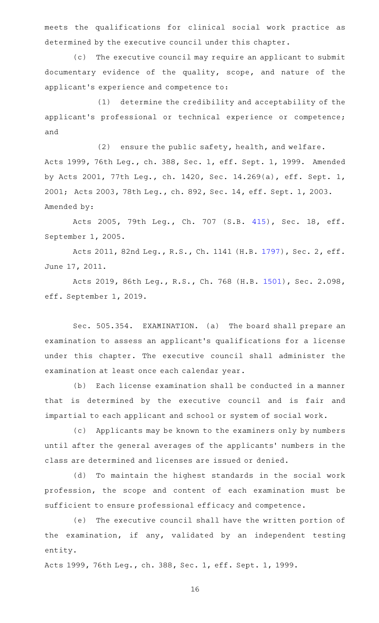meets the qualifications for clinical social work practice as determined by the executive council under this chapter.

(c) The executive council may require an applicant to submit documentary evidence of the quality, scope, and nature of the applicant 's experience and competence to:

(1) determine the credibility and acceptability of the applicant 's professional or technical experience or competence; and

 $(2)$  ensure the public safety, health, and welfare. Acts 1999, 76th Leg., ch. 388, Sec. 1, eff. Sept. 1, 1999. Amended by Acts 2001, 77th Leg., ch. 1420, Sec. 14.269(a), eff. Sept. 1, 2001; Acts 2003, 78th Leg., ch. 892, Sec. 14, eff. Sept. 1, 2003. Amended by:

Acts 2005, 79th Leg., Ch. 707 (S.B. [415\)](http://www.legis.state.tx.us/tlodocs/79R/billtext/html/SB00415F.HTM), Sec. 18, eff. September 1, 2005.

Acts 2011, 82nd Leg., R.S., Ch. 1141 (H.B. [1797](http://www.legis.state.tx.us/tlodocs/82R/billtext/html/HB01797F.HTM)), Sec. 2, eff. June 17, 2011.

Acts 2019, 86th Leg., R.S., Ch. 768 (H.B. [1501\)](http://www.legis.state.tx.us/tlodocs/86R/billtext/html/HB01501F.HTM), Sec. 2.098, eff. September 1, 2019.

Sec. 505.354. EXAMINATION. (a) The board shall prepare an examination to assess an applicant 's qualifications for a license under this chapter. The executive council shall administer the examination at least once each calendar year.

(b) Each license examination shall be conducted in a manner that is determined by the executive council and is fair and impartial to each applicant and school or system of social work.

(c) Applicants may be known to the examiners only by numbers until after the general averages of the applicants' numbers in the class are determined and licenses are issued or denied.

(d) To maintain the highest standards in the social work profession, the scope and content of each examination must be sufficient to ensure professional efficacy and competence.

(e) The executive council shall have the written portion of the examination, if any, validated by an independent testing entity.

Acts 1999, 76th Leg., ch. 388, Sec. 1, eff. Sept. 1, 1999.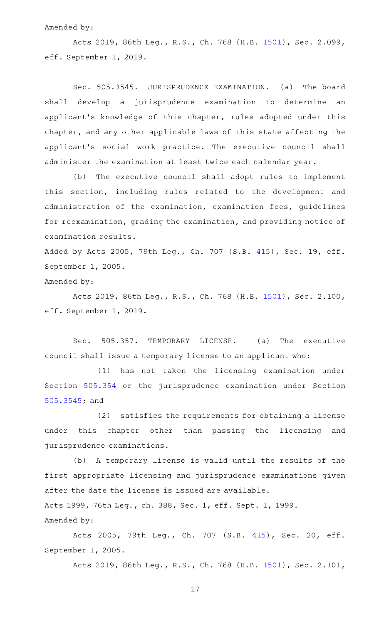#### Amended by:

Acts 2019, 86th Leg., R.S., Ch. 768 (H.B. [1501\)](http://www.legis.state.tx.us/tlodocs/86R/billtext/html/HB01501F.HTM), Sec. 2.099, eff. September 1, 2019.

Sec. 505.3545. JURISPRUDENCE EXAMINATION. (a) The board shall develop a jurisprudence examination to determine an applicant 's knowledge of this chapter, rules adopted under this chapter, and any other applicable laws of this state affecting the applicant 's social work practice. The executive council shall administer the examination at least twice each calendar year.

(b) The executive council shall adopt rules to implement this section, including rules related to the development and administration of the examination, examination fees, guidelines for reexamination, grading the examination, and providing notice of examination results.

Added by Acts 2005, 79th Leg., Ch. 707 (S.B. [415](http://www.legis.state.tx.us/tlodocs/79R/billtext/html/SB00415F.HTM)), Sec. 19, eff. September 1, 2005.

Amended by:

Acts 2019, 86th Leg., R.S., Ch. 768 (H.B. [1501\)](http://www.legis.state.tx.us/tlodocs/86R/billtext/html/HB01501F.HTM), Sec. 2.100, eff. September 1, 2019.

Sec. 505.357. TEMPORARY LICENSE. (a) The executive council shall issue a temporary license to an applicant who:

(1) has not taken the licensing examination under Section [505.354](http://www.statutes.legis.state.tx.us/GetStatute.aspx?Code=OC&Value=505.354) or the jurisprudence examination under Section [505.3545](http://www.statutes.legis.state.tx.us/GetStatute.aspx?Code=OC&Value=505.3545); and

(2) satisfies the requirements for obtaining a license under this chapter other than passing the licensing and jurisprudence examinations.

(b) A temporary license is valid until the results of the first appropriate licensing and jurisprudence examinations given after the date the license is issued are available. Acts 1999, 76th Leg., ch. 388, Sec. 1, eff. Sept. 1, 1999. Amended by:

Acts 2005, 79th Leg., Ch. 707 (S.B. [415\)](http://www.legis.state.tx.us/tlodocs/79R/billtext/html/SB00415F.HTM), Sec. 20, eff. September 1, 2005.

Acts 2019, 86th Leg., R.S., Ch. 768 (H.B. [1501\)](http://www.legis.state.tx.us/tlodocs/86R/billtext/html/HB01501F.HTM), Sec. 2.101,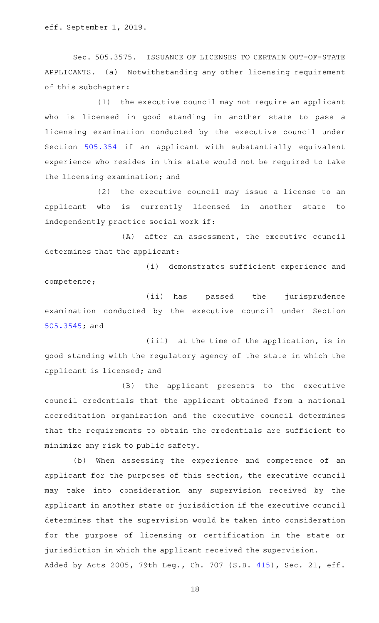eff. September 1, 2019.

Sec. 505.3575. ISSUANCE OF LICENSES TO CERTAIN OUT-OF-STATE APPLICANTS. (a) Notwithstanding any other licensing requirement of this subchapter:

 $(1)$  the executive council may not require an applicant who is licensed in good standing in another state to pass a licensing examination conducted by the executive council under Section [505.354](http://www.statutes.legis.state.tx.us/GetStatute.aspx?Code=OC&Value=505.354) if an applicant with substantially equivalent experience who resides in this state would not be required to take the licensing examination; and

(2) the executive council may issue a license to an applicant who is currently licensed in another state to independently practice social work if:

 $(A)$  after an assessment, the executive council determines that the applicant:

(i) demonstrates sufficient experience and competence;

(ii) has passed the jurisprudence examination conducted by the executive council under Section [505.3545](http://www.statutes.legis.state.tx.us/GetStatute.aspx?Code=OC&Value=505.3545); and

(iii) at the time of the application, is in good standing with the regulatory agency of the state in which the applicant is licensed; and

(B) the applicant presents to the executive council credentials that the applicant obtained from a national accreditation organization and the executive council determines that the requirements to obtain the credentials are sufficient to minimize any risk to public safety.

(b) When assessing the experience and competence of an applicant for the purposes of this section, the executive council may take into consideration any supervision received by the applicant in another state or jurisdiction if the executive council determines that the supervision would be taken into consideration for the purpose of licensing or certification in the state or jurisdiction in which the applicant received the supervision. Added by Acts 2005, 79th Leg., Ch. 707 (S.B. [415](http://www.legis.state.tx.us/tlodocs/79R/billtext/html/SB00415F.HTM)), Sec. 21, eff.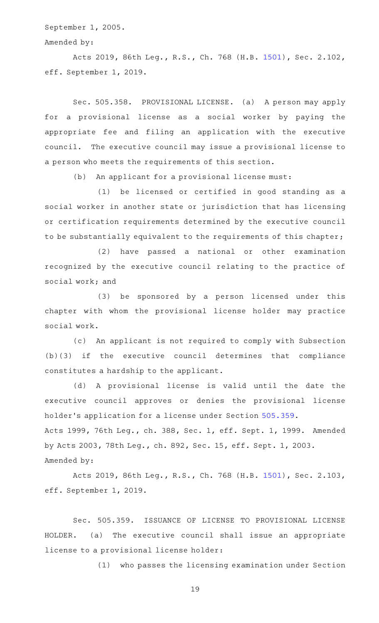September 1, 2005.

#### Amended by:

Acts 2019, 86th Leg., R.S., Ch. 768 (H.B. [1501\)](http://www.legis.state.tx.us/tlodocs/86R/billtext/html/HB01501F.HTM), Sec. 2.102, eff. September 1, 2019.

Sec. 505.358. PROVISIONAL LICENSE. (a) A person may apply for a provisional license as a social worker by paying the appropriate fee and filing an application with the executive council. The executive council may issue a provisional license to a person who meets the requirements of this section.

(b) An applicant for a provisional license must:

(1) be licensed or certified in good standing as a social worker in another state or jurisdiction that has licensing or certification requirements determined by the executive council to be substantially equivalent to the requirements of this chapter;

(2) have passed a national or other examination recognized by the executive council relating to the practice of social work; and

(3) be sponsored by a person licensed under this chapter with whom the provisional license holder may practice social work.

(c) An applicant is not required to comply with Subsection (b)(3) if the executive council determines that compliance constitutes a hardship to the applicant.

(d) A provisional license is valid until the date the executive council approves or denies the provisional license holder 's application for a license under Section [505.359](http://www.statutes.legis.state.tx.us/GetStatute.aspx?Code=OC&Value=505.359). Acts 1999, 76th Leg., ch. 388, Sec. 1, eff. Sept. 1, 1999. Amended by Acts 2003, 78th Leg., ch. 892, Sec. 15, eff. Sept. 1, 2003. Amended by:

Acts 2019, 86th Leg., R.S., Ch. 768 (H.B. [1501\)](http://www.legis.state.tx.us/tlodocs/86R/billtext/html/HB01501F.HTM), Sec. 2.103, eff. September 1, 2019.

Sec. 505.359. ISSUANCE OF LICENSE TO PROVISIONAL LICENSE HOLDER. (a) The executive council shall issue an appropriate license to a provisional license holder:

(1) who passes the licensing examination under Section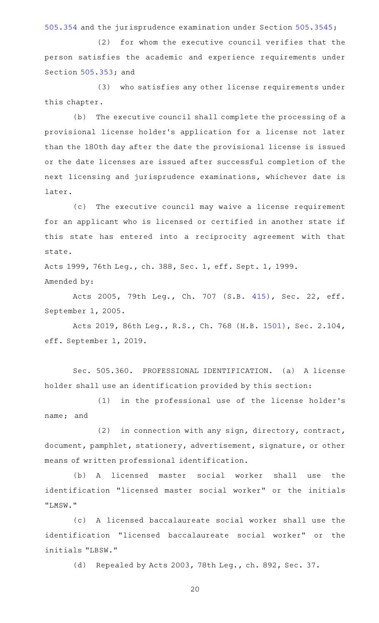[505.354](http://www.statutes.legis.state.tx.us/GetStatute.aspx?Code=OC&Value=505.354) and the jurisprudence examination under Section [505.3545](http://www.statutes.legis.state.tx.us/GetStatute.aspx?Code=OC&Value=505.3545);

 $(2)$  for whom the executive council verifies that the person satisfies the academic and experience requirements under Section [505.353;](http://www.statutes.legis.state.tx.us/GetStatute.aspx?Code=OC&Value=505.353) and

(3) who satisfies any other license requirements under this chapter.

(b) The executive council shall complete the processing of a provisional license holder 's application for a license not later than the 180th day after the date the provisional license is issued or the date licenses are issued after successful completion of the next licensing and jurisprudence examinations, whichever date is later.

(c) The executive council may waive a license requirement for an applicant who is licensed or certified in another state if this state has entered into a reciprocity agreement with that state.

Acts 1999, 76th Leg., ch. 388, Sec. 1, eff. Sept. 1, 1999. Amended by:

Acts 2005, 79th Leg., Ch. 707 (S.B. [415\)](http://www.legis.state.tx.us/tlodocs/79R/billtext/html/SB00415F.HTM), Sec. 22, eff. September 1, 2005.

Acts 2019, 86th Leg., R.S., Ch. 768 (H.B. [1501\)](http://www.legis.state.tx.us/tlodocs/86R/billtext/html/HB01501F.HTM), Sec. 2.104, eff. September 1, 2019.

Sec. 505.360. PROFESSIONAL IDENTIFICATION. (a) A license holder shall use an identification provided by this section:

(1) in the professional use of the license holder's name; and

(2) in connection with any sign, directory, contract, document, pamphlet, stationery, advertisement, signature, or other means of written professional identification.

(b) A licensed master social worker shall use the identification "licensed master social worker" or the initials "LMSW."

(c)AAA licensed baccalaureate social worker shall use the identification "licensed baccalaureate social worker" or the initials "LBSW."

(d) Repealed by Acts 2003, 78th Leg., ch. 892, Sec. 37.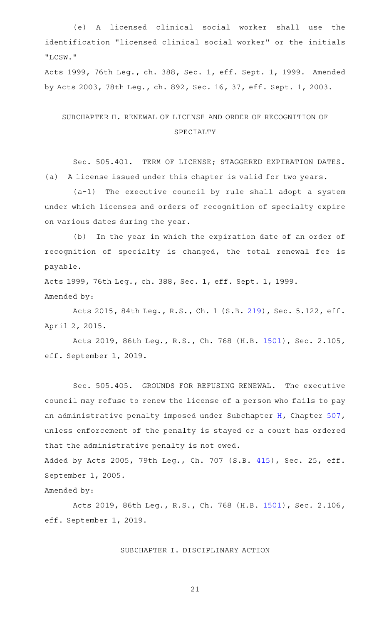(e)AAA licensed clinical social worker shall use the identification "licensed clinical social worker" or the initials "LCSW."

Acts 1999, 76th Leg., ch. 388, Sec. 1, eff. Sept. 1, 1999. Amended by Acts 2003, 78th Leg., ch. 892, Sec. 16, 37, eff. Sept. 1, 2003.

## SUBCHAPTER H. RENEWAL OF LICENSE AND ORDER OF RECOGNITION OF SPECIALTY

Sec. 505.401. TERM OF LICENSE; STAGGERED EXPIRATION DATES. (a) A license issued under this chapter is valid for two years.

 $(a-1)$  The executive council by rule shall adopt a system under which licenses and orders of recognition of specialty expire on various dates during the year.

(b) In the year in which the expiration date of an order of recognition of specialty is changed, the total renewal fee is payable.

Acts 1999, 76th Leg., ch. 388, Sec. 1, eff. Sept. 1, 1999. Amended by:

Acts 2015, 84th Leg., R.S., Ch. 1 (S.B. [219](http://www.legis.state.tx.us/tlodocs/84R/billtext/html/SB00219F.HTM)), Sec. 5.122, eff. April 2, 2015.

Acts 2019, 86th Leg., R.S., Ch. 768 (H.B. [1501\)](http://www.legis.state.tx.us/tlodocs/86R/billtext/html/HB01501F.HTM), Sec. 2.105, eff. September 1, 2019.

Sec. 505.405. GROUNDS FOR REFUSING RENEWAL. The executive council may refuse to renew the license of a person who fails to pay an administrative penalty imposed under Subchapter [H](http://www.statutes.legis.state.tx.us/GetStatute.aspx?Code=OC&Value=507.351), Chapter [507](http://www.statutes.legis.state.tx.us/GetStatute.aspx?Code=OC&Value=507), unless enforcement of the penalty is stayed or a court has ordered that the administrative penalty is not owed.

Added by Acts 2005, 79th Leg., Ch. 707 (S.B. [415](http://www.legis.state.tx.us/tlodocs/79R/billtext/html/SB00415F.HTM)), Sec. 25, eff. September 1, 2005.

Amended by:

Acts 2019, 86th Leg., R.S., Ch. 768 (H.B. [1501\)](http://www.legis.state.tx.us/tlodocs/86R/billtext/html/HB01501F.HTM), Sec. 2.106, eff. September 1, 2019.

#### SUBCHAPTER I. DISCIPLINARY ACTION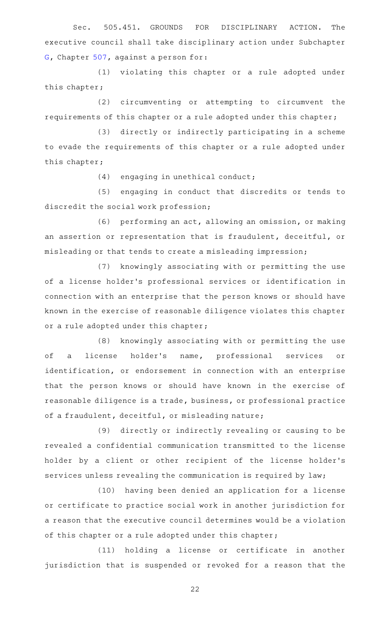Sec. 505.451. GROUNDS FOR DISCIPLINARY ACTION. The executive council shall take disciplinary action under Subchapter [G,](http://www.statutes.legis.state.tx.us/GetStatute.aspx?Code=OC&Value=507.301) Chapter [507,](http://www.statutes.legis.state.tx.us/GetStatute.aspx?Code=OC&Value=507) against a person for:

(1) violating this chapter or a rule adopted under this chapter;

(2) circumventing or attempting to circumvent the requirements of this chapter or a rule adopted under this chapter;

(3) directly or indirectly participating in a scheme to evade the requirements of this chapter or a rule adopted under this chapter;

(4) engaging in unethical conduct;

(5) engaging in conduct that discredits or tends to discredit the social work profession;

(6) performing an act, allowing an omission, or making an assertion or representation that is fraudulent, deceitful, or misleading or that tends to create a misleading impression;

(7) knowingly associating with or permitting the use of a license holder 's professional services or identification in connection with an enterprise that the person knows or should have known in the exercise of reasonable diligence violates this chapter or a rule adopted under this chapter;

(8) knowingly associating with or permitting the use of a license holder's name, professional services or identification, or endorsement in connection with an enterprise that the person knows or should have known in the exercise of reasonable diligence is a trade, business, or professional practice of a fraudulent, deceitful, or misleading nature;

(9) directly or indirectly revealing or causing to be revealed a confidential communication transmitted to the license holder by a client or other recipient of the license holder 's services unless revealing the communication is required by law;

(10) having been denied an application for a license or certificate to practice social work in another jurisdiction for a reason that the executive council determines would be a violation of this chapter or a rule adopted under this chapter;

(11) holding a license or certificate in another jurisdiction that is suspended or revoked for a reason that the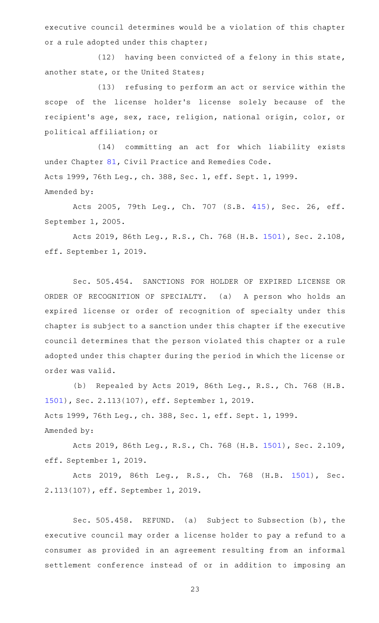executive council determines would be a violation of this chapter or a rule adopted under this chapter;

(12) having been convicted of a felony in this state, another state, or the United States;

(13) refusing to perform an act or service within the scope of the license holder 's license solely because of the recipient 's age, sex, race, religion, national origin, color, or political affiliation; or

(14) committing an act for which liability exists under Chapter [81,](http://www.statutes.legis.state.tx.us/GetStatute.aspx?Code=CP&Value=81) Civil Practice and Remedies Code. Acts 1999, 76th Leg., ch. 388, Sec. 1, eff. Sept. 1, 1999. Amended by:

Acts 2005, 79th Leg., Ch. 707 (S.B. [415\)](http://www.legis.state.tx.us/tlodocs/79R/billtext/html/SB00415F.HTM), Sec. 26, eff. September 1, 2005.

Acts 2019, 86th Leg., R.S., Ch. 768 (H.B. [1501\)](http://www.legis.state.tx.us/tlodocs/86R/billtext/html/HB01501F.HTM), Sec. 2.108, eff. September 1, 2019.

Sec. 505.454. SANCTIONS FOR HOLDER OF EXPIRED LICENSE OR ORDER OF RECOGNITION OF SPECIALTY. (a) A person who holds an expired license or order of recognition of specialty under this chapter is subject to a sanction under this chapter if the executive council determines that the person violated this chapter or a rule adopted under this chapter during the period in which the license or order was valid.

(b) Repealed by Acts 2019, 86th Leg., R.S., Ch. 768 (H.B. [1501](http://www.legis.state.tx.us/tlodocs/86R/billtext/html/HB01501F.HTM)), Sec. 2.113(107), eff. September 1, 2019. Acts 1999, 76th Leg., ch. 388, Sec. 1, eff. Sept. 1, 1999. Amended by:

Acts 2019, 86th Leg., R.S., Ch. 768 (H.B. [1501\)](http://www.legis.state.tx.us/tlodocs/86R/billtext/html/HB01501F.HTM), Sec. 2.109, eff. September 1, 2019.

Acts 2019, 86th Leg., R.S., Ch. 768 (H.B. [1501\)](http://www.legis.state.tx.us/tlodocs/86R/billtext/html/HB01501F.HTM), Sec. 2.113(107), eff. September 1, 2019.

Sec. 505.458. REFUND. (a) Subject to Subsection (b), the executive council may order a license holder to pay a refund to a consumer as provided in an agreement resulting from an informal settlement conference instead of or in addition to imposing an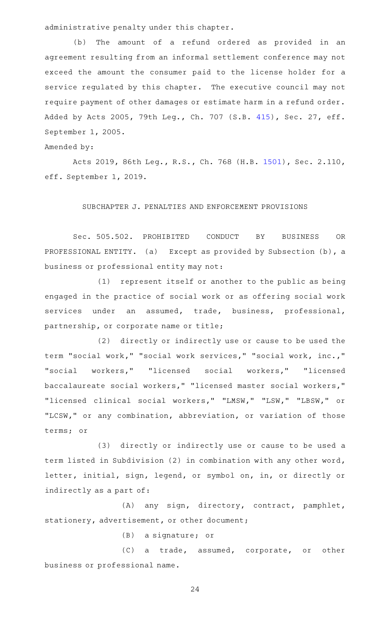administrative penalty under this chapter.

(b) The amount of a refund ordered as provided in an agreement resulting from an informal settlement conference may not exceed the amount the consumer paid to the license holder for a service regulated by this chapter. The executive council may not require payment of other damages or estimate harm in a refund order. Added by Acts 2005, 79th Leg., Ch. 707 (S.B. [415](http://www.legis.state.tx.us/tlodocs/79R/billtext/html/SB00415F.HTM)), Sec. 27, eff. September 1, 2005.

#### Amended by:

Acts 2019, 86th Leg., R.S., Ch. 768 (H.B. [1501\)](http://www.legis.state.tx.us/tlodocs/86R/billtext/html/HB01501F.HTM), Sec. 2.110, eff. September 1, 2019.

## SUBCHAPTER J. PENALTIES AND ENFORCEMENT PROVISIONS

Sec. 505.502. PROHIBITED CONDUCT BY BUSINESS OR PROFESSIONAL ENTITY. (a) Except as provided by Subsection (b), a business or professional entity may not:

(1) represent itself or another to the public as being engaged in the practice of social work or as offering social work services under an assumed, trade, business, professional, partnership, or corporate name or title;

(2) directly or indirectly use or cause to be used the term "social work," "social work services," "social work, inc.," "social workers," "licensed social workers," "licensed baccalaureate social workers," "licensed master social workers," "licensed clinical social workers," "LMSW," "LSW," "LBSW," or "LCSW," or any combination, abbreviation, or variation of those terms; or

(3) directly or indirectly use or cause to be used a term listed in Subdivision (2) in combination with any other word, letter, initial, sign, legend, or symbol on, in, or directly or indirectly as a part of:

(A) any sign, directory, contract, pamphlet, stationery, advertisement, or other document;

(B) a signature; or

(C) a trade, assumed, corporate, or other business or professional name.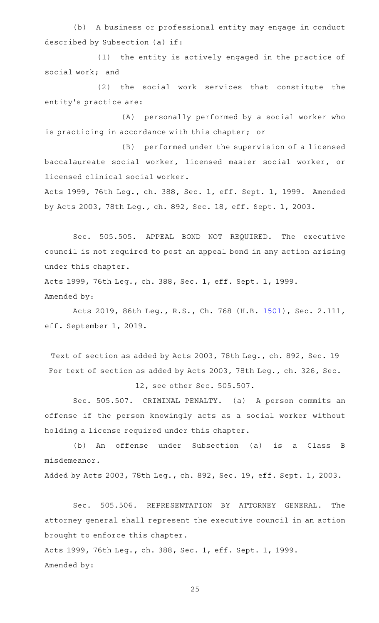(b) A business or professional entity may engage in conduct described by Subsection (a) if:

(1) the entity is actively engaged in the practice of social work; and

(2) the social work services that constitute the entity's practice are:

(A) personally performed by a social worker who is practicing in accordance with this chapter; or

(B) performed under the supervision of a licensed baccalaureate social worker, licensed master social worker, or licensed clinical social worker.

Acts 1999, 76th Leg., ch. 388, Sec. 1, eff. Sept. 1, 1999. Amended by Acts 2003, 78th Leg., ch. 892, Sec. 18, eff. Sept. 1, 2003.

Sec. 505.505. APPEAL BOND NOT REQUIRED. The executive council is not required to post an appeal bond in any action arising under this chapter.

Acts 1999, 76th Leg., ch. 388, Sec. 1, eff. Sept. 1, 1999. Amended by:

Acts 2019, 86th Leg., R.S., Ch. 768 (H.B. [1501\)](http://www.legis.state.tx.us/tlodocs/86R/billtext/html/HB01501F.HTM), Sec. 2.111, eff. September 1, 2019.

Text of section as added by Acts 2003, 78th Leg., ch. 892, Sec. 19 For text of section as added by Acts 2003, 78th Leg., ch. 326, Sec.

12, see other Sec. 505.507.

Sec. 505.507. CRIMINAL PENALTY. (a) A person commits an offense if the person knowingly acts as a social worker without holding a license required under this chapter.

(b) An offense under Subsection (a) is a Class B misdemeanor.

Added by Acts 2003, 78th Leg., ch. 892, Sec. 19, eff. Sept. 1, 2003.

Sec. 505.506. REPRESENTATION BY ATTORNEY GENERAL. The attorney general shall represent the executive council in an action brought to enforce this chapter.

Acts 1999, 76th Leg., ch. 388, Sec. 1, eff. Sept. 1, 1999. Amended by: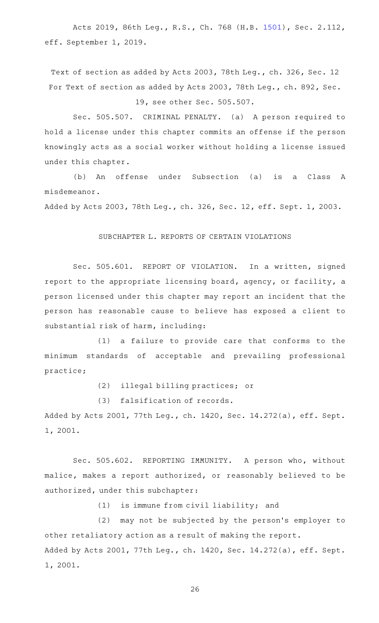Acts 2019, 86th Leg., R.S., Ch. 768 (H.B. [1501\)](http://www.legis.state.tx.us/tlodocs/86R/billtext/html/HB01501F.HTM), Sec. 2.112, eff. September 1, 2019.

Text of section as added by Acts 2003, 78th Leg., ch. 326, Sec. 12 For Text of section as added by Acts 2003, 78th Leg., ch. 892, Sec.

## 19, see other Sec. 505.507.

Sec. 505.507. CRIMINAL PENALTY. (a) A person required to hold a license under this chapter commits an offense if the person knowingly acts as a social worker without holding a license issued under this chapter.

(b)AAAn offense under Subsection (a) is a Class A misdemeanor.

Added by Acts 2003, 78th Leg., ch. 326, Sec. 12, eff. Sept. 1, 2003.

#### SUBCHAPTER L. REPORTS OF CERTAIN VIOLATIONS

Sec. 505.601. REPORT OF VIOLATION. In a written, signed report to the appropriate licensing board, agency, or facility, a person licensed under this chapter may report an incident that the person has reasonable cause to believe has exposed a client to substantial risk of harm, including:

(1) a failure to provide care that conforms to the minimum standards of acceptable and prevailing professional practice;

(2) illegal billing practices; or

(3) falsification of records.

Added by Acts 2001, 77th Leg., ch. 1420, Sec. 14.272(a), eff. Sept. 1, 2001.

Sec. 505.602. REPORTING IMMUNITY. A person who, without malice, makes a report authorized, or reasonably believed to be authorized, under this subchapter:

 $(1)$  is immune from civil liability; and

(2) may not be subjected by the person's employer to other retaliatory action as a result of making the report. Added by Acts 2001, 77th Leg., ch. 1420, Sec. 14.272(a), eff. Sept. 1, 2001.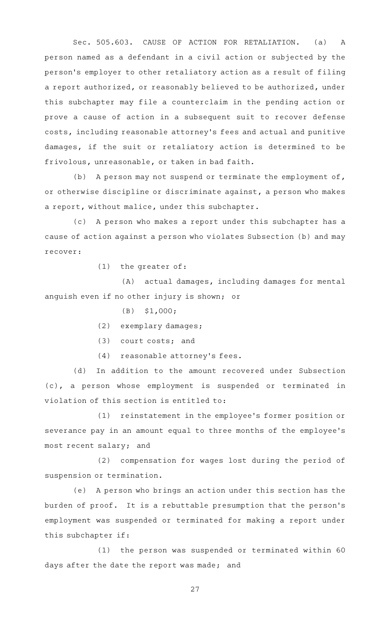Sec. 505.603. CAUSE OF ACTION FOR RETALIATION. (a) A person named as a defendant in a civil action or subjected by the person 's employer to other retaliatory action as a result of filing a report authorized, or reasonably believed to be authorized, under this subchapter may file a counterclaim in the pending action or prove a cause of action in a subsequent suit to recover defense costs, including reasonable attorney 's fees and actual and punitive damages, if the suit or retaliatory action is determined to be frivolous, unreasonable, or taken in bad faith.

(b) A person may not suspend or terminate the employment of, or otherwise discipline or discriminate against, a person who makes a report, without malice, under this subchapter.

(c) A person who makes a report under this subchapter has a cause of action against a person who violates Subsection (b) and may recover:

 $(1)$  the greater of:

(A) actual damages, including damages for mental anguish even if no other injury is shown; or

- $(B)$  \$1,000;
- (2) exemplary damages;
- $(3)$  court costs; and
- (4) reasonable attorney's fees.

(d) In addition to the amount recovered under Subsection (c), a person whose employment is suspended or terminated in violation of this section is entitled to:

(1) reinstatement in the employee's former position or severance pay in an amount equal to three months of the employee 's most recent salary; and

(2) compensation for wages lost during the period of suspension or termination.

(e) A person who brings an action under this section has the burden of proof. It is a rebuttable presumption that the person's employment was suspended or terminated for making a report under this subchapter if:

(1) the person was suspended or terminated within 60 days after the date the report was made; and